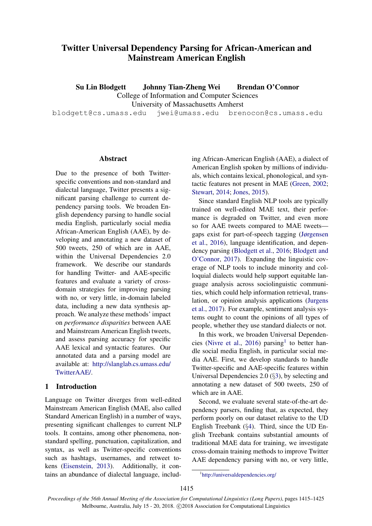# Twitter Universal Dependency Parsing for African-American and Mainstream American English

Su Lin Blodgett Johnny Tian-Zheng Wei Brendan O'Connor

College of Information and Computer Sciences

University of Massachusetts Amherst

blodgett@cs.umass.edu jwei@umass.edu brenocon@cs.umass.edu

#### Abstract

Due to the presence of both Twitterspecific conventions and non-standard and dialectal language, Twitter presents a significant parsing challenge to current dependency parsing tools. We broaden English dependency parsing to handle social media English, particularly social media African-American English (AAE), by developing and annotating a new dataset of 500 tweets, 250 of which are in AAE, within the Universal Dependencies 2.0 framework. We describe our standards for handling Twitter- and AAE-specific features and evaluate a variety of crossdomain strategies for improving parsing with no, or very little, in-domain labeled data, including a new data synthesis approach. We analyze these methods' impact on *performance disparities* between AAE and Mainstream American English tweets, and assess parsing accuracy for specific AAE lexical and syntactic features. Our annotated data and a parsing model are available at: [http://slanglab.cs.umass.edu/](http://slanglab.cs.umass.edu/TwitterAAE/) [TwitterAAE/.](http://slanglab.cs.umass.edu/TwitterAAE/)

# 1 Introduction

Language on Twitter diverges from well-edited Mainstream American English (MAE, also called Standard American English) in a number of ways, presenting significant challenges to current NLP tools. It contains, among other phenomena, nonstandard spelling, punctuation, capitalization, and syntax, as well as Twitter-specific conventions such as hashtags, usernames, and retweet tokens [\(Eisenstein,](#page-9-0) [2013\)](#page-9-0). Additionally, it contains an abundance of dialectal language, includ-

ing African-American English (AAE), a dialect of American English spoken by millions of individuals, which contains lexical, phonological, and syntactic features not present in MAE [\(Green,](#page-9-1) [2002;](#page-9-1) [Stewart,](#page-9-2) [2014;](#page-9-2) [Jones,](#page-9-3) [2015\)](#page-9-3).

Since standard English NLP tools are typically trained on well-edited MAE text, their performance is degraded on Twitter, and even more so for AAE tweets compared to MAE tweets gaps exist for part-of-speech tagging [\(Jørgensen](#page-9-4) [et al.,](#page-9-4) [2016\)](#page-9-4), language identification, and dependency parsing [\(Blodgett et al.,](#page-8-0) [2016;](#page-8-0) [Blodgett and](#page-8-1) [O'Connor,](#page-8-1) [2017\)](#page-8-1). Expanding the linguistic coverage of NLP tools to include minority and colloquial dialects would help support equitable language analysis across sociolinguistic communities, which could help information retrieval, translation, or opinion analysis applications [\(Jurgens](#page-9-5) [et al.,](#page-9-5) [2017\)](#page-9-5). For example, sentiment analysis systems ought to count the opinions of all types of people, whether they use standard dialects or not.

In this work, we broaden Universal Dependen-cies [\(Nivre et al.,](#page-9-6) [2016\)](#page-9-6) parsing<sup>[1](#page-0-0)</sup> to better handle social media English, in particular social media AAE. First, we develop standards to handle Twitter-specific and AAE-specific features within Universal Dependencies 2.0 (§[3\)](#page-1-0), by selecting and annotating a new dataset of 500 tweets, 250 of which are in AAE.

Second, we evaluate several state-of-the-art dependency parsers, finding that, as expected, they perform poorly on our dataset relative to the UD English Treebank (§[4\)](#page-3-0). Third, since the UD English Treebank contains substantial amounts of traditional MAE data for training, we investigate cross-domain training methods to improve Twitter AAE dependency parsing with no, or very little,

<span id="page-0-0"></span><sup>1</sup> <http://universaldependencies.org/>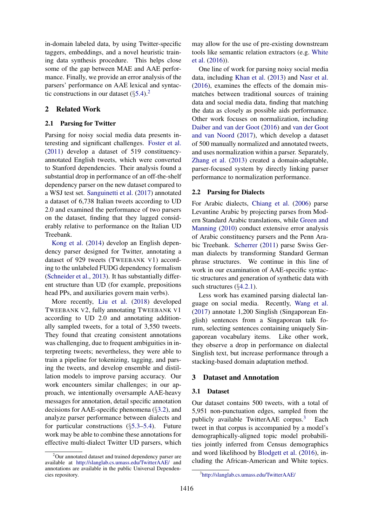in-domain labeled data, by using Twitter-specific taggers, embeddings, and a novel heuristic training data synthesis procedure. This helps close some of the gap between MAE and AAE performance. Finally, we provide an error analysis of the parsers' performance on AAE lexical and syntactic constructions in our dataset  $(\S 5.4)^2$  $(\S 5.4)^2$  $(\S 5.4)^2$  $(\S 5.4)^2$ .

#### 2 Related Work

#### 2.1 Parsing for Twitter

Parsing for noisy social media data presents interesting and significant challenges. [Foster et al.](#page-9-7) [\(2011\)](#page-9-7) develop a dataset of 519 constituencyannotated English tweets, which were converted to Stanford dependencies. Their analysis found a substantial drop in performance of an off-the-shelf dependency parser on the new dataset compared to a WSJ test set. [Sanguinetti et al.](#page-9-8) [\(2017\)](#page-9-8) annotated a dataset of 6,738 Italian tweets according to UD 2.0 and examined the performance of two parsers on the dataset, finding that they lagged considerably relative to performance on the Italian UD Treebank.

[Kong et al.](#page-9-9) [\(2014\)](#page-9-9) develop an English dependency parser designed for Twitter, annotating a dataset of 929 tweets (TWEEBANK V1) according to the unlabeled FUDG dependency formalism [\(Schneider et al.,](#page-9-10) [2013\)](#page-9-10). It has substantially different structure than UD (for example, prepositions head PPs, and auxiliaries govern main verbs).

More recently, [Liu et al.](#page-9-11) [\(2018\)](#page-9-11) developed TWEEBANK V2, fully annotating TWEEBANK V1 according to UD 2.0 and annotating additionally sampled tweets, for a total of 3,550 tweets. They found that creating consistent annotations was challenging, due to frequent ambiguities in interpreting tweets; nevertheless, they were able to train a pipeline for tokenizing, tagging, and parsing the tweets, and develop ensemble and distillation models to improve parsing accuracy. Our work encounters similar challenges; in our approach, we intentionally oversample AAE-heavy messages for annotation, detail specific annotation decisions for AAE-specific phenomena (§[3.2\)](#page-2-0), and analyze parser performance between dialects and for particular constructions  $(\S 5.3 - 5.4)$  $(\S 5.3 - 5.4)$  $(\S 5.3 - 5.4)$ . Future work may be able to combine these annotations for effective multi-dialect Twitter UD parsers, which may allow for the use of pre-existing downstream tools like semantic relation extractors (e.g. [White](#page-10-0) [et al.](#page-10-0) [\(2016\)](#page-10-0)).

One line of work for parsing noisy social media data, including [Khan et al.](#page-9-12) [\(2013\)](#page-9-12) and [Nasr et al.](#page-9-13) [\(2016\)](#page-9-13), examines the effects of the domain mismatches between traditional sources of training data and social media data, finding that matching the data as closely as possible aids performance. Other work focuses on normalization, including [Daiber and van der Goot](#page-8-2) [\(2016\)](#page-8-2) and [van der Goot](#page-9-14) [and van Noord](#page-9-14) [\(2017\)](#page-9-14), which develop a dataset of 500 manually normalized and annotated tweets, and uses normalization within a parser. Separately, [Zhang et al.](#page-10-1) [\(2013\)](#page-10-1) created a domain-adaptable, parser-focused system by directly linking parser performance to normalization performance.

#### 2.2 Parsing for Dialects

For Arabic dialects, [Chiang et al.](#page-8-3) [\(2006\)](#page-8-3) parse Levantine Arabic by projecting parses from Modern Standard Arabic translations, while [Green and](#page-9-15) [Manning](#page-9-15) [\(2010\)](#page-9-15) conduct extensive error analysis of Arabic constituency parsers and the Penn Arabic Treebank. [Scherrer](#page-9-16) [\(2011\)](#page-9-16) parse Swiss German dialects by transforming Standard German phrase structures. We continue in this line of work in our examination of AAE-specific syntactic structures and generation of synthetic data with such structures (§[4.2.1\)](#page-4-0).

Less work has examined parsing dialectal language on social media. Recently, [Wang et al.](#page-10-2) [\(2017\)](#page-10-2) annotate 1,200 Singlish (Singaporean English) sentences from a Singaporean talk forum, selecting sentences containing uniquely Singaporean vocabulary items. Like other work, they observe a drop in performance on dialectal Singlish text, but increase performance through a stacking-based domain adaptation method.

#### <span id="page-1-0"></span>3 Dataset and Annotation

#### <span id="page-1-3"></span>3.1 Dataset

Our dataset contains 500 tweets, with a total of 5,951 non-punctuation edges, sampled from the publicly available TwitterAAE corpus. $3$  Each tweet in that corpus is accompanied by a model's demographically-aligned topic model probabilities jointly inferred from Census demographics and word likelihood by [Blodgett et al.](#page-8-0) [\(2016\)](#page-8-0), including the African-American and White topics.

<span id="page-1-1"></span><sup>&</sup>lt;sup>2</sup>Our annotated dataset and trained dependency parser are available at <http://slanglab.cs.umass.edu/TwitterAAE/> and annotations are available in the public Universal Dependencies repository.

<span id="page-1-2"></span><sup>3</sup> <http://slanglab.cs.umass.edu/TwitterAAE/>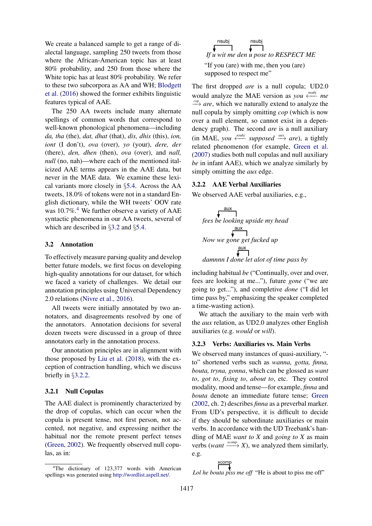We create a balanced sample to get a range of dialectal language, sampling 250 tweets from those where the African-American topic has at least 80% probability, and 250 from those where the White topic has at least 80% probability. We refer to these two subcorpora as AA and WH; [Blodgett](#page-8-0) [et al.](#page-8-0) [\(2016\)](#page-8-0) showed the former exhibits linguistic features typical of AAE.

The 250 AA tweets include many alternate spellings of common words that correspond to well-known phonological phenomena—including *da, tha* (the), *dat, dhat* (that), *dis, dhis* (this), *ion, iont* (I don't), *ova* (over), *yo* (your), *dere, der* (there), *den, dhen* (then), *ova* (over), and *nall, null* (no, nah)—where each of the mentioned italicized AAE terms appears in the AAE data, but never in the MAE data. We examine these lexical variants more closely in §[5.4.](#page-6-0) Across the AA tweets, 18.0% of tokens were not in a standard English dictionary, while the WH tweets' OOV rate was 10.7%.<sup>[4](#page-2-1)</sup> We further observe a variety of AAE syntactic phenomena in our AA tweets, several of which are described in §[3.2](#page-2-0) and §[5.4.](#page-6-0)

## <span id="page-2-0"></span>3.2 Annotation

To effectively measure parsing quality and develop better future models, we first focus on developing high-quality annotations for our dataset, for which we faced a variety of challenges. We detail our annotation principles using Universal Dependency 2.0 relations [\(Nivre et al.,](#page-9-6) [2016\)](#page-9-6).

All tweets were initially annotated by two annotators, and disagreements resolved by one of the annotators. Annotation decisions for several dozen tweets were discussed in a group of three annotators early in the annotation process.

Our annotation principles are in alignment with those proposed by [Liu et al.](#page-9-11) [\(2018\)](#page-9-11), with the exception of contraction handling, which we discuss briefly in §[3.2.2.](#page-2-2)

#### 3.2.1 Null Copulas

The AAE dialect is prominently characterized by the drop of copulas, which can occur when the copula is present tense, not first person, not accented, not negative, and expressing neither the habitual nor the remote present perfect tenses [\(Green,](#page-9-1) [2002\)](#page-9-1). We frequently observed null copulas, as in:



The first dropped *are* is a null copula; UD2.0 would analyze the MAE version as *you* ← *me cop are*, which we naturally extend to analyze the null copula by simply omitting *cop* (which is now over a null element, so cannot exist in a dependency graph). The second *are* is a null auxiliary  $(in MAE, you \xleftarrow{nsubj} supposed \xrightarrow{aux} are)$ , a tightly related phenomenon (for example, [Green et al.](#page-9-17) [\(2007\)](#page-9-17) studies both null copulas and null auxiliary *be* in infant AAE), which we analyze similarly by simply omitting the *aux* edge.

#### <span id="page-2-2"></span>3.2.2 AAE Verbal Auxiliaries

We observed AAE verbal auxiliaries, e.g.,



including habitual *be* ("Continually, over and over, fees are looking at me..."), future *gone* ("we are going to get..."), and completive *done* ("I did let time pass by," emphasizing the speaker completed a time-wasting action).

We attach the auxiliary to the main verb with the *aux* relation, as UD2.0 analyzes other English auxiliaries (e.g. *would* or *will*).

### 3.2.3 Verbs: Auxiliaries vs. Main Verbs

We observed many instances of quasi-auxiliary, " to" shortened verbs such as *wanna, gotta, finna, bouta, tryna, gonna*, which can be glossed as *want to*, *got to*, *fixing to*, *about to*, etc. They control modality, mood and tense—for example, *finna* and *bouta* denote an immediate future tense; [Green](#page-9-1) [\(2002,](#page-9-1) ch. 2) describes *finna* as a preverbal marker. From UD's perspective, it is difficult to decide if they should be subordinate auxiliaries or main verbs. In accordance with the UD Treebank's handling of MAE *want to X* and *going to X* as main verbs (*want*  $\xrightarrow{xcomp} X$ ), we analyzed them similarly, e.g.

$$
\xrightarrow{\text{\sf xcomp}}
$$

*Lol he bouta piss me off* "He is about to piss me off"

<span id="page-2-1"></span><sup>&</sup>lt;sup>4</sup>The dictionary of 123,377 words with American spellings was generated using [http://wordlist.aspell.net/.](http://wordlist.aspell.net/)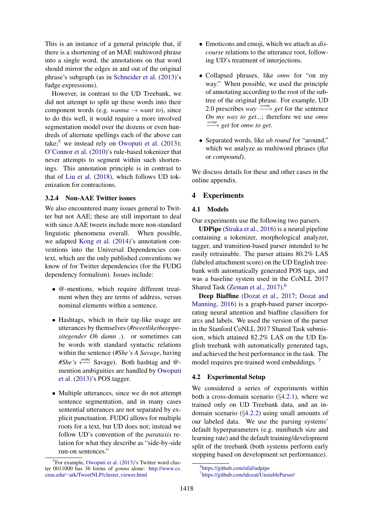This is an instance of a general principle that, if there is a shortening of an MAE multiword phrase into a single word, the annotations on that word should mirror the edges in and out of the original phrase's subgraph (as in [Schneider et al.](#page-9-10) [\(2013\)](#page-9-10)'s fudge expressions).

However, in contrast to the UD Treebank, we did not attempt to split up these words into their component words (e.g. *wanna*  $\rightarrow$  *want to*), since to do this well, it would require a more involved segmentation model over the dozens or even hundreds of alternate spellings each of the above can take;<sup>[5](#page-3-1)</sup> we instead rely on [Owoputi et al.](#page-9-18)  $(2013)$ ; [O'Connor et al.](#page-9-19) [\(2010\)](#page-9-19)'s rule-based tokenizer that never attempts to segment within such shortenings. This annotation principle is in contrast to that of [Liu et al.](#page-9-11) [\(2018\)](#page-9-11), which follows UD tokenization for contractions.

## 3.2.4 Non-AAE Twitter issues

We also encountered many issues general to Twitter but not AAE; these are still important to deal with since AAE tweets include more non-standard linguistic phenomena overall. When possible, we adapted [Kong et al.](#page-9-9) [\(2014\)](#page-9-9)'s annotation conventions into the Universal Dependencies context, which are the only published conventions we know of for Twitter dependencies (for the FUDG dependency formalism). Issues include:

- @-mentions, which require different treatment when they are terms of address, versus nominal elements within a sentence.
- Hashtags, which in their tag-like usage are utterances by themselves (*#tweetliketheoppositegender Oh damn .*). or sometimes can be words with standard syntactic relations within the sentence (*#She's A Savage*, having #She's <sup>knsubj</sup> Savage). Both hashtag and @mention ambiguities are handled by [Owoputi](#page-9-18) [et al.](#page-9-18) [\(2013\)](#page-9-18)'s POS tagger.
- Multiple utterances, since we do not attempt sentence segmentation, and in many cases sentential utterances are not separated by explicit punctuation. FUDG allows for multiple roots for a text, but UD does not; instead we follow UD's convention of the *parataxis* relation for what they describe as "side-by-side run-on sentences."
- Emoticons and emoji, which we attach as *discourse* relations to the utterance root, following UD's treatment of interjections.
- Collapsed phrases, like *omw* for "on my way." When possible, we used the principle of annotating according to the root of the subtree of the original phrase. For example, UD 2.0 prescribes *way*  $\frac{xcomp}{\longrightarrow} get$  for the sentence *On my way to get...*; therefore we use *omw xcomp* −−→ *get* for *omw to get*.
- Separated words, like *uh round* for "around," which we analyze as multiword phrases (*flat* or *compound*).

We discuss details for these and other cases in the online appendix.

#### <span id="page-3-0"></span>4 Experiments

#### 4.1 Models

Our experiments use the following two parsers.

UDPipe [\(Straka et al.,](#page-9-20) [2016\)](#page-9-20) is a neural pipeline containing a tokenizer, morphological analyzer, tagger, and transition-based parser intended to be easily retrainable. The parser attains 80.2% LAS (labeled attachment score) on the UD English treebank with automatically generated POS tags, and was a baseline system used in the CoNLL 2017 Shared Task [\(Zeman et al.,](#page-10-3) [2017\)](#page-10-3).<sup>[6](#page-3-2)</sup>

Deep Biaffine [\(Dozat et al.,](#page-9-21) [2017;](#page-9-21) [Dozat and](#page-8-4) [Manning,](#page-8-4) [2016\)](#page-8-4) is a graph-based parser incorporating neural attention and biaffine classifiers for arcs and labels. We used the version of the parser in the Stanford CoNLL 2017 Shared Task submission, which attained 82.2% LAS on the UD English treebank with automatically generated tags, and achieved the best performance in the task. The model requires pre-trained word embeddings.<sup>[7](#page-3-3)</sup>

#### 4.2 Experimental Setup

We considered a series of experiments within both a cross-domain scenario (§[4.2.1\)](#page-4-0), where we trained only on UD Treebank data, and an indomain scenario (§[4.2.2\)](#page-5-0) using small amounts of our labeled data. We use the parsing systems' default hyperparameters (e.g. minibatch size and learning rate) and the default training/development split of the treebank (both systems perform early stopping based on development set performance).

<span id="page-3-1"></span><sup>&</sup>lt;sup>5</sup>For example, [Owoputi et al.](#page-9-18) [\(2013\)](#page-9-18)'s Twitter word cluster 0011000 has 36 forms of *gonna* alone: [http://www.cs.](http://www.cs.cmu.edu/~ark/TweetNLP/cluster_viewer.html) cmu.edu/∼[ark/TweetNLP/cluster](http://www.cs.cmu.edu/~ark/TweetNLP/cluster_viewer.html) viewer.html

<span id="page-3-2"></span><sup>6</sup> <https://github.com/ufal/udpipe>

<span id="page-3-3"></span><sup>7</sup> <https://github.com/tdozat/UnstableParser/>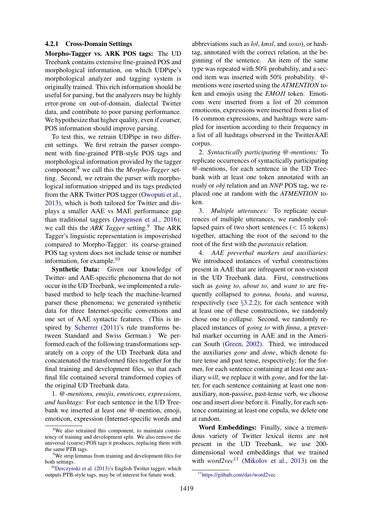#### <span id="page-4-0"></span>4.2.1 Cross-Domain Settings

Morpho-Tagger vs. ARK POS tags: The UD Treebank contains extensive fine-grained POS and morphological information, on which UDPipe's morphological analyzer and tagging system is originally trained. This rich information should be useful for parsing, but the analyzers may be highly error-prone on out-of-domain, dialectal Twitter data, and contribute to poor parsing performance. We hypothesize that higher quality, even if coarser, POS information should improve parsing.

To test this, we retrain UDPipe in two different settings. We first retrain the parser component with fine-grained PTB-style POS tags and morphological information provided by the tagger component;[8](#page-4-1) we call this the *Morpho-Tagger* setting. Second, we retrain the parser with morphological information stripped and its tags predicted from the ARK Twitter POS tagger [\(Owoputi et al.,](#page-9-18) [2013\)](#page-9-18), which is both tailored for Twitter and displays a smaller AAE vs MAE performance gap than traditional taggers [\(Jørgensen et al.,](#page-9-4) [2016\)](#page-9-4); we call this the *ARK Tagger* setting.<sup>[9](#page-4-2)</sup> The ARK Tagger's linguistic representation is impoverished compared to Morpho-Tagger: its coarse-grained POS tag system does not include tense or number information, for example. $10$ 

Synthetic Data: Given our knowledge of Twitter- and AAE-specific phenomena that do not occur in the UD Treebank, we implemented a rulebased method to help teach the machine-learned parser these phenomena; we generated synthetic data for three Internet-specific conventions and one set of AAE syntactic features. (This is inspired by [Scherrer](#page-9-16) [\(2011\)](#page-9-16)'s rule transforms between Standard and Swiss German.) We performed each of the following transformations separately on a copy of the UD Treebank data and concatenated the transformed files together for the final training and development files, so that each final file contained several transformed copies of the original UD Treebank data.

1. *@-mentions, emojis, emoticons, expressions, and hashtags:* For each sentence in the UD Treebank we inserted at least one @-mention, emoji, emoticon, expression (Internet-specific words and

abbreviations such as *lol*, *kmsl*, and *xoxo*), or hashtag, annotated with the correct relation, at the beginning of the sentence. An item of the same type was repeated with 50% probability, and a second item was inserted with 50% probability. @ mentions were inserted using the *ATMENTION* token and emojis using the *EMOJI* token. Emoticons were inserted from a list of 20 common emoticons, expressions were inserted from a list of 16 common expressions, and hashtags were sampled for insertion according to their frequency in a list of all hashtags observed in the TwitterAAE corpus.

2. *Syntactically participating @-mentions:* To replicate occurrences of syntactically participating @-mentions, for each sentence in the UD Treebank with at least one token annotated with an *nsubj* or *obj* relation and an *NNP* POS tag, we replaced one at random with the *ATMENTION* token.

3. *Multiple utterances:* To replicate occurrences of multiple utterances, we randomly collapsed pairs of two short sentences  $\left($  < 15 tokens) together, attaching the root of the second to the root of the first with the *parataxis* relation.

4. *AAE preverbal markers and auxiliaries:* We introduced instances of verbal constructions present in AAE that are infrequent or non-existent in the UD Treebank data. First, constructions such as *going to*, *about to*, and *want to* are frequently collapsed to *gonna*, *bouta*, and *wanna*, respectively (see §[3.2.2\)](#page-2-2); for each sentence with at least one of these constructions, we randomly chose one to collapse. Second, we randomly replaced instances of *going to* with *finna*, a preverbal marker occurring in AAE and in the American South [\(Green,](#page-9-1) [2002\)](#page-9-1). Third, we introduced the auxiliaries *gone* and *done*, which denote future tense and past tense, respectively; for the former, for each sentence containing at least one auxiliary *will*, we replace it with *gone*, and for the latter, for each sentence containing at least one nonauxiliary, non-passive, past-tense verb, we choose one and insert *done* before it. Finally, for each sentence containing at least one copula, we delete one at random.

Word Embeddings: Finally, since a tremendous variety of Twitter lexical items are not present in the UD Treebank, we use 200 dimensional word embeddings that we trained with  $word2vec^{11}$  $word2vec^{11}$  $word2vec^{11}$  [\(Mikolov et al.,](#page-9-22) [2013\)](#page-9-22) on the

<span id="page-4-1"></span><sup>&</sup>lt;sup>8</sup>We also retrained this component, to maintain consistency of training and development split. We also remove the universal (coarse) POS tags it produces, replacing them with the same PTB tags.

<span id="page-4-2"></span><sup>&</sup>lt;sup>9</sup>We strip lemmas from training and development files for both settings.

<span id="page-4-3"></span><sup>&</sup>lt;sup>10</sup>[Derczynski et al.](#page-8-5) [\(2013\)](#page-8-5)'s English Twitter tagger, which outputs PTB-style tags, may be of interest for future work.

<span id="page-4-4"></span><sup>11</sup><https://github.com/dav/word2vec>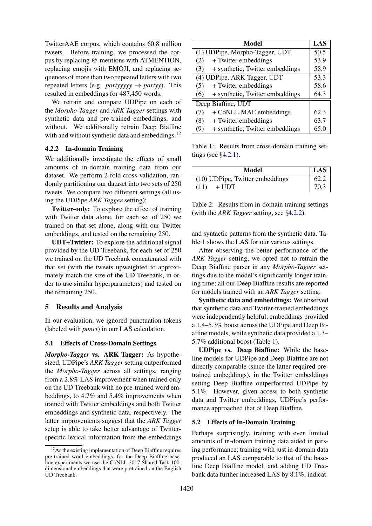TwitterAAE corpus, which contains 60.8 million tweets. Before training, we processed the corpus by replacing @-mentions with ATMENTION, replacing emojis with EMOJI, and replacing sequences of more than two repeated letters with two repeated letters (e.g. *partyyyyy*  $\rightarrow$  *partyy*). This resulted in embeddings for 487,450 words.

We retrain and compare UDPipe on each of the *Morpho-Tagger* and *ARK Tagger* settings with synthetic data and pre-trained embeddings, and without. We additionally retrain Deep Biaffine with and without synthetic data and embeddings. $12$ 

#### <span id="page-5-0"></span>4.2.2 In-domain Training

We additionally investigate the effects of small amounts of in-domain training data from our dataset. We perform 2-fold cross-validation, randomly partitioning our dataset into two sets of 250 tweets. We compare two different settings (all using the UDPipe *ARK Tagger* setting):

Twitter-only: To explore the effect of training with Twitter data alone, for each set of 250 we trained on that set alone, along with our Twitter embeddings, and tested on the remaining 250.

UDT+Twitter: To explore the additional signal provided by the UD Treebank, for each set of 250 we trained on the UD Treebank concatenated with that set (with the tweets upweighted to approximately match the size of the UD Treebank, in order to use similar hyperparameters) and tested on the remaining 250.

#### 5 Results and Analysis

In our evaluation, we ignored punctuation tokens (labeled with *punct*) in our LAS calculation.

#### 5.1 Effects of Cross-Domain Settings

*Morpho-Tagger* vs. ARK Tagger: As hypothesized, UDPipe's *ARK Tagger* setting outperformed the *Morpho-Tagger* across all settings, ranging from a 2.8% LAS improvement when trained only on the UD Treebank with no pre-trained word embeddings, to 4.7% and 5.4% improvements when trained with Twitter embeddings and both Twitter embeddings and synthetic data, respectively. The latter improvements suggest that the *ARK Tagger* setup is able to take better advantage of Twitterspecific lexical information from the embeddings

| Model                                  |      |  |  |  |  |
|----------------------------------------|------|--|--|--|--|
| (1) UDPipe, Morpho-Tagger, UDT         |      |  |  |  |  |
| + Twitter embeddings<br>(2)            |      |  |  |  |  |
| + synthetic, Twitter embeddings<br>(3) | 58.9 |  |  |  |  |
| (4) UDPipe, ARK Tagger, UDT            |      |  |  |  |  |
| + Twitter embeddings<br>(5)            | 58.6 |  |  |  |  |
| + synthetic, Twitter embeddings<br>(6) | 64.3 |  |  |  |  |
| Deep Biaffine, UDT                     |      |  |  |  |  |
| + CoNLL MAE embeddings<br>(7)          | 62.3 |  |  |  |  |
| (8)<br>+ Twitter embeddings            | 63.7 |  |  |  |  |
| + synthetic, Twitter embeddings<br>(9) | 65.0 |  |  |  |  |

<span id="page-5-2"></span>Table 1: Results from cross-domain training settings (see §[4.2.1\)](#page-4-0).

| Model                           |      |  |  |  |
|---------------------------------|------|--|--|--|
| (10) UDPipe, Twitter embeddings |      |  |  |  |
| (11)<br>$+$ UDT                 | 70.3 |  |  |  |

Table 2: Results from in-domain training settings (with the *ARK Tagger* setting, see §[4.2.2\)](#page-5-0).

and syntactic patterns from the synthetic data. Table [1](#page-5-2) shows the LAS for our various settings.

After observing the better performance of the *ARK Tagger* setting, we opted not to retrain the Deep Biaffine parser in any *Morpho-Tagger* settings due to the model's significantly longer training time; all our Deep Biaffine results are reported for models trained with an *ARK Tagger* setting.

Synthetic data and embeddings: We observed that synthetic data and Twitter-trained embeddings were independently helpful; embeddings provided a 1.4–5.3% boost across the UDPipe and Deep Biaffine models, while synthetic data provided a 1.3– 5.7% additional boost (Table [1\)](#page-5-2).

UDPipe vs. Deep Biaffine: While the baseline models for UDPipe and Deep Biaffine are not directly comparable (since the latter required pretrained embeddings), in the Twitter embeddings setting Deep Biaffine outperformed UDPipe by 5.1%. However, given access to both synthetic data and Twitter embeddings, UDPipe's performance approached that of Deep Biaffine.

#### 5.2 Effects of In-Domain Training

Perhaps surprisingly, training with even limited amounts of in-domain training data aided in parsing performance; training with just in-domain data produced an LAS comparable to that of the baseline Deep Biaffine model, and adding UD Treebank data further increased LAS by 8.1%, indicat-

<span id="page-5-1"></span><sup>&</sup>lt;sup>12</sup>As the existing implementation of Deep Biaffine requires pre-trained word embeddings, for the Deep Biaffine baseline experiments we use the CoNLL 2017 Shared Task 100 dimensional embeddings that were pretrained on the English UD Treebank.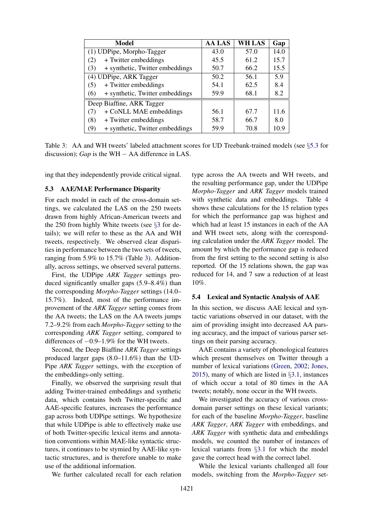| Model                                  | <b>AA LAS</b> | <b>WH LAS</b> | Gap  |
|----------------------------------------|---------------|---------------|------|
| (1) UDPipe, Morpho-Tagger              | 43.0          | 57.0          | 14.0 |
| + Twitter embeddings<br>(2)            | 45.5          | 61.2          | 15.7 |
| + synthetic, Twitter embeddings<br>(3) | 50.7          | 66.2          | 15.5 |
| (4) UDPipe, ARK Tagger                 | 50.2          | 56.1          | 5.9  |
| + Twitter embeddings<br>(5)            | 54.1          | 62.5          | 8.4  |
| + synthetic, Twitter embeddings<br>(6) | 59.9          | 68.1          | 8.2  |
| Deep Biaffine, ARK Tagger              |               |               |      |
| + CoNLL MAE embeddings<br>(7)          | 56.1          | 67.7          | 11.6 |
| + Twitter embeddings<br>(8)            | 58.7          | 66.7          | 8.0  |
| + synthetic, Twitter embeddings<br>(9) | 59.9          | 70.8          | 10.9 |

<span id="page-6-2"></span>Table 3: AA and WH tweets' labeled attachment scores for UD Treebank-trained models (see §[5.3](#page-6-1) for discussion); *Gap* is the WH − AA difference in LAS.

ing that they independently provide critical signal.

#### <span id="page-6-1"></span>5.3 AAE/MAE Performance Disparity

For each model in each of the cross-domain settings, we calculated the LAS on the 250 tweets drawn from highly African-American tweets and the 250 from highly White tweets (see §[3](#page-1-0) for details); we will refer to these as the AA and WH tweets, respectively. We observed clear disparities in performance between the two sets of tweets, ranging from 5.9% to 15.7% (Table [3\)](#page-6-2). Additionally, across settings, we observed several patterns.

First, the UDPipe *ARK Tagger* settings produced significantly smaller gaps (5.9–8.4%) than the corresponding *Morpho-Tagger* settings (14.0– 15.7%). Indeed, most of the performance improvement of the *ARK Tagger* setting comes from the AA tweets; the LAS on the AA tweets jumps 7.2–9.2% from each *Morpho-Tagger* setting to the corresponding *ARK Tagger* setting, compared to differences of −0.9–1.9% for the WH tweets.

Second, the Deep Biaffine *ARK Tagger* settings produced larger gaps (8.0–11.6%) than the UD-Pipe *ARK Tagger* settings, with the exception of the embeddings-only setting.

Finally, we observed the surprising result that adding Twitter-trained embeddings and synthetic data, which contains both Twitter-specific and AAE-specific features, increases the performance gap across both UDPipe settings. We hypothesize that while UDPipe is able to effectively make use of both Twitter-specific lexical items and annotation conventions within MAE-like syntactic structures, it continues to be stymied by AAE-like syntactic structures, and is therefore unable to make use of the additional information.

We further calculated recall for each relation

type across the AA tweets and WH tweets, and the resulting performance gap, under the UDPipe *Morpho-Tagger* and *ARK Tagger* models trained with synthetic data and embeddings. Table [4](#page-7-0) shows these calculations for the 15 relation types for which the performance gap was highest and which had at least 15 instances in each of the AA and WH tweet sets, along with the corresponding calculation under the *ARK Tagger* model. The amount by which the performance gap is reduced from the first setting to the second setting is also reported. Of the 15 relations shown, the gap was reduced for 14, and 7 saw a reduction of at least 10%.

## <span id="page-6-0"></span>5.4 Lexical and Syntactic Analysis of AAE

In this section, we discuss AAE lexical and syntactic variations observed in our dataset, with the aim of providing insight into decreased AA parsing accuracy, and the impact of various parser settings on their parsing accuracy.

AAE contains a variety of phonological features which present themselves on Twitter through a number of lexical variations [\(Green,](#page-9-1) [2002;](#page-9-1) [Jones,](#page-9-3) [2015\)](#page-9-3), many of which are listed in §[3.1,](#page-1-3) instances of which occur a total of 80 times in the AA tweets; notably, none occur in the WH tweets.

We investigated the accuracy of various crossdomain parser settings on these lexical variants; for each of the baseline *Morpho-Tagger*, baseline *ARK Tagger*, *ARK Tagger* with embeddings, and *ARK Tagger* with synthetic data and embeddings models, we counted the number of instances of lexical variants from §[3.1](#page-1-3) for which the model gave the correct head with the correct label.

While the lexical variants challenged all four models, switching from the *Morpho-Tagger* set-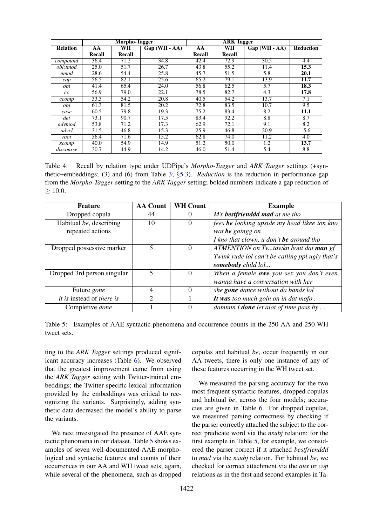|                 | Morpho-Tagger |           |                   |        |           |                |                   |
|-----------------|---------------|-----------|-------------------|--------|-----------|----------------|-------------------|
| <b>Relation</b> | AA            | <b>WH</b> | $Gap(WH - AA)$    | AA     | <b>WH</b> | $Gap(WH - AA)$ | <b>Reduction</b>  |
|                 | Recall        | Recall    |                   | Recall | Recall    |                |                   |
| compound        | 36.4          | 71.2      | 34.8              | 42.4   | 72.9      | 30.5           | 4.4               |
| obl:tmod        | 25.0          | 51.7      | 26.7              | 43.8   | 55.2      | 11.4           | 15.3              |
| nmod            | 28.6          | 54.4      | 25.8              | 45.7   | 51.5      | 5.8            | 20.1              |
| cop             | 56.5          | 82.1      | 25.6              | 65.2   | 79.1      | 13.9           | 11.7              |
| obl             | 41.4          | 65.4      | 24.0              | 56.8   | 62.5      | 5.7            | 18.3              |
| cc              | 56.9          | 79.0      | 22.1              | 78.5   | 82.7      | 4.3            | 17.8              |
| ccomp           | 33.3          | 54.2      | 20.8              | 40.5   | 54.2      | 13.7           | 7.1               |
| obj             | 61.3          | 81.5      | $\overline{20.2}$ | 72.8   | 83.5      | 10.7           | 9.5               |
| case            | 60.5          | 79.8      | 19.3              | 75.2   | 83.4      | 8.2            | $\overline{11.1}$ |
| det             | 73.1          | 90.7      | 17.5              | 83.4   | 92.2      | 8.8            | 8.7               |
| advmod          | 53.8          | 71.2      | 17.3              | 62.9   | 72.1      | 9.1            | 8.2               |
| advcl           | 31.5          | 46.8      | 15.3              | 25.9   | 46.8      | 20.9           | $-5.6$            |
| root            | 56.4          | 71.6      | 15.2              | 62.8   | 74.0      | 11.2           | 4.0               |
| xcomp           | 40.0          | 54.9      | 14.9              | 51.2   | 50.0      | 1.2            | 13.7              |
| discourse       | 30.7          | 44.9      | 14.2              | 46.0   | 51.4      | 5.4            | 8.8               |

<span id="page-7-0"></span>Table 4: Recall by relation type under UDPipe's *Morpho-Tagger* and *ARK Tagger* settings (+synthetic+embeddings; (3) and (6) from Table [3;](#page-6-2) §[5.3\)](#page-6-1). *Reduction* is the reduction in performance gap from the *Morpho-Tagger* setting to the *ARK Tagger* setting; bolded numbers indicate a gap reduction of  $> 10.0.$ 

| <b>Feature</b>                   | <b>AA Count</b> | <b>WH Count</b> | <b>Example</b>                                         |
|----------------------------------|-----------------|-----------------|--------------------------------------------------------|
| Dropped copula                   | 44              | 0               | MY bestfrienddd mad at me tho                          |
| Habitual be, describing          | 10              | 0               | fees be looking upside my head likee ion kno           |
| repeated actions                 |                 |                 | wat be goingg on.                                      |
|                                  |                 |                 | I kno that clown, $u$ don't be around tho              |
| Dropped possessive marker        | 5               | $\Omega$        | ATMENTION on Tvtawkn bout dat man gf                   |
|                                  |                 |                 | Twink rude lol can't be calling ppl ugly that's        |
|                                  |                 |                 | somebody child lol                                     |
| Dropped 3rd person singular      | 5               | $\Omega$        | When a female owe you sex you don't even               |
|                                  |                 |                 | wanna have a conversation with her                     |
| Future <i>gone</i>               | 4               | $\Omega$        | she <b>gone</b> dance without da bands lol             |
| <i>it is instead of there is</i> | ◠               |                 | It was too much goin on in dat mofo.                   |
| Completive done                  |                 | 0               | damnnn I <b>done</b> let alot of time pass by $\ldots$ |

<span id="page-7-1"></span>Table 5: Examples of AAE syntactic phenomena and occurrence counts in the 250 AA and 250 WH tweet sets.

ting to the *ARK Tagger* settings produced significant accuracy increases (Table [6\)](#page-8-6). We observed that the greatest improvement came from using the *ARK Tagger* setting with Twitter-trained embeddings; the Twitter-specific lexical information provided by the embeddings was critical to recognizing the variants. Surprisingly, adding synthetic data decreased the model's ability to parse the variants.

We next investigated the presence of AAE syntactic phenomena in our dataset. Table [5](#page-7-1) shows examples of seven well-documented AAE morphological and syntactic features and counts of their occurrences in our AA and WH tweet sets; again, while several of the phenomena, such as dropped copulas and habitual *be*, occur frequently in our AA tweets, there is only one instance of any of these features occurring in the WH tweet set.

We measured the parsing accuracy for the two most frequent syntactic features, dropped copulas and habitual *be*, across the four models; accuracies are given in Table [6.](#page-8-6) For dropped copulas, we measured parsing correctness by checking if the parser correctly attached the subject to the correct predicate word via the *nsubj* relation; for the first example in Table [5,](#page-7-1) for example, we considered the parser correct if it attached *bestfrienddd* to *mad* via the *nsubj* relation. For habitual *be*, we checked for correct attachment via the *aux* or *cop* relations as in the first and second examples in Ta-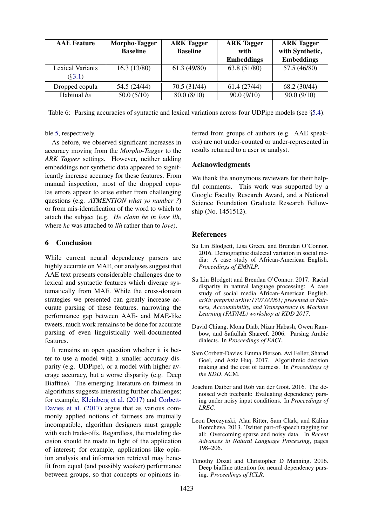| <b>AAE</b> Feature      | Morpho-Tagger   | <b>ARK Tagger</b><br><b>ARK Tagger</b> |                   | <b>ARK Tagger</b> |
|-------------------------|-----------------|----------------------------------------|-------------------|-------------------|
|                         | <b>Baseline</b> | <b>Baseline</b>                        | with              | with Synthetic,   |
|                         |                 |                                        | <b>Embeddings</b> | <b>Embeddings</b> |
| <b>Lexical Variants</b> | 16.3(13/80)     | 61.3(49/80)                            | 63.8 (51/80)      | 57.5 (46/80)      |
| $(\S3.1)$               |                 |                                        |                   |                   |
| Dropped copula          | 54.5 (24/44)    | 70.5 (31/44)                           | 61.4(27/44)       | 68.2 (30/44)      |
| Habitual be             | 50.0(5/10)      | 80.0(8/10)                             | 90.0(9/10)        | 90.0(9/10)        |

<span id="page-8-6"></span>Table 6: Parsing accuracies of syntactic and lexical variations across four UDPipe models (see §[5.4\)](#page-6-0).

## ble [5,](#page-7-1) respectively.

As before, we observed significant increases in accuracy moving from the *Morpho-Tagger* to the *ARK Tagger* settings. However, neither adding embeddings nor synthetic data appeared to significantly increase accuracy for these features. From manual inspection, most of the dropped copulas errors appear to arise either from challenging questions (e.g. *ATMENTION what yo number ?*) or from mis-identification of the word to which to attach the subject (e.g. *He claim he in love llh*, where *he* was attached to *llh* rather than to *love*).

# 6 Conclusion

While current neural dependency parsers are highly accurate on MAE, our analyses suggest that AAE text presents considerable challenges due to lexical and syntactic features which diverge systematically from MAE. While the cross-domain strategies we presented can greatly increase accurate parsing of these features, narrowing the performance gap between AAE- and MAE-like tweets, much work remains to be done for accurate parsing of even linguistically well-documented features.

It remains an open question whether it is better to use a model with a smaller accuracy disparity (e.g. UDPipe), or a model with higher average accuracy, but a worse disparity (e.g. Deep Biaffine). The emerging literature on fairness in algorithms suggests interesting further challenges; for example, [Kleinberg et al.](#page-9-23) [\(2017\)](#page-9-23) and [Corbett-](#page-8-7)[Davies et al.](#page-8-7) [\(2017\)](#page-8-7) argue that as various commonly applied notions of fairness are mutually incompatible, algorithm designers must grapple with such trade-offs. Regardless, the modeling decision should be made in light of the application of interest; for example, applications like opinion analysis and information retrieval may benefit from equal (and possibly weaker) performance between groups, so that concepts or opinions in-

ferred from groups of authors (e.g. AAE speakers) are not under-counted or under-represented in results returned to a user or analyst.

## Acknowledgments

We thank the anonymous reviewers for their helpful comments. This work was supported by a Google Faculty Research Award, and a National Science Foundation Graduate Research Fellowship (No. 1451512).

#### References

- <span id="page-8-0"></span>Su Lin Blodgett, Lisa Green, and Brendan O'Connor. 2016. Demographic dialectal variation in social media: A case study of African-American English. *Proceedings of EMNLP*.
- <span id="page-8-1"></span>Su Lin Blodgett and Brendan O'Connor. 2017. Racial disparity in natural language processing: A case study of social media African-American English. *arXiv preprint arXiv:1707.00061; presented at Fairness, Accountability, and Transparency in Machine Learning (FAT/ML) workshop at KDD 2017*.
- <span id="page-8-3"></span>David Chiang, Mona Diab, Nizar Habash, Owen Rambow, and Safiullah Shareef. 2006. Parsing Arabic dialects. In *Proceedings of EACL*.
- <span id="page-8-7"></span>Sam Corbett-Davies, Emma Pierson, Avi Feller, Sharad Goel, and Aziz Huq. 2017. Algorithmic decision making and the cost of fairness. In *Proceedings of the KDD*. ACM.
- <span id="page-8-2"></span>Joachim Daiber and Rob van der Goot. 2016. The denoised web treebank: Evaluating dependency parsing under noisy input conditions. In *Proceedings of LREC*.
- <span id="page-8-5"></span>Leon Derczynski, Alan Ritter, Sam Clark, and Kalina Bontcheva. 2013. Twitter part-of-speech tagging for all: Overcoming sparse and noisy data. In *Recent Advances in Natural Language Processing*, pages 198–206.
- <span id="page-8-4"></span>Timothy Dozat and Christopher D Manning. 2016. Deep biaffine attention for neural dependency parsing. *Proceedings of ICLR*.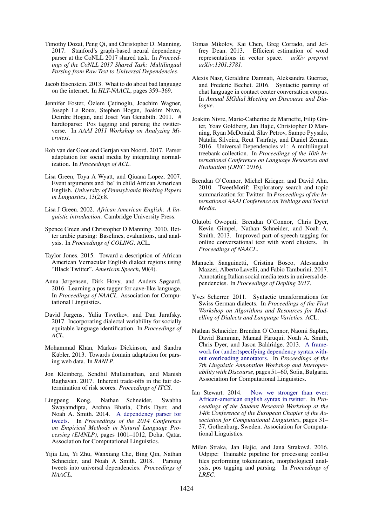- <span id="page-9-21"></span>Timothy Dozat, Peng Qi, and Christopher D. Manning. 2017. Stanford's graph-based neural dependency parser at the CoNLL 2017 shared task. In *Proceedings of the CoNLL 2017 Shared Task: Multilingual Parsing from Raw Text to Universal Dependencies*.
- <span id="page-9-0"></span>Jacob Eisenstein. 2013. What to do about bad language on the internet. In *HLT-NAACL*, pages 359–369.
- <span id="page-9-7"></span>Jennifer Foster, Özlem Cetinoglu, Joachim Wagner, Joseph Le Roux, Stephen Hogan, Joakim Nivre, Deirdre Hogan, and Josef Van Genabith. 2011. # hardtoparse: Pos tagging and parsing the twitterverse. In *AAAI 2011 Workshop on Analyzing Microtext*.
- <span id="page-9-14"></span>Rob van der Goot and Gertjan van Noord. 2017. Parser adaptation for social media by integrating normalization. In *Proceedings of ACL*.
- <span id="page-9-17"></span>Lisa Green, Toya A Wyatt, and Qiuana Lopez. 2007. Event arguments and 'be' in child African American English. *University of Pennsylvania Working Papers in Linguistics*, 13(2):8.
- <span id="page-9-1"></span>Lisa J Green. 2002. *African American English: A linguistic introduction*. Cambridge University Press.
- <span id="page-9-15"></span>Spence Green and Christopher D Manning. 2010. Better arabic parsing: Baselines, evaluations, and analysis. In *Proceedings of COLING*. ACL.
- <span id="page-9-3"></span>Taylor Jones. 2015. Toward a description of African American Vernacular English dialect regions using "Black Twitter". *American Speech*, 90(4).
- <span id="page-9-4"></span>Anna Jørgensen, Dirk Hovy, and Anders Søgaard. 2016. Learning a pos tagger for aave-like language. In *Proceedings of NAACL*. Association for Computational Linguistics.
- <span id="page-9-5"></span>David Jurgens, Yulia Tsvetkov, and Dan Jurafsky. 2017. Incorporating dialectal variability for socially equitable language identification. In *Proceedings of ACL*.
- <span id="page-9-12"></span>Mohammad Khan, Markus Dickinson, and Sandra Kübler. 2013. Towards domain adaptation for parsing web data. In *RANLP*.
- <span id="page-9-23"></span>Jon Kleinberg, Sendhil Mullainathan, and Manish Raghavan. 2017. Inherent trade-offs in the fair determination of risk scores. *Proceedings of ITCS*.
- <span id="page-9-9"></span>Lingpeng Kong, Nathan Schneider, Swabha Swayamdipta, Archna Bhatia, Chris Dyer, and Noah A. Smith. 2014. [A dependency parser for](http://www.aclweb.org/anthology/D14-1108) [tweets.](http://www.aclweb.org/anthology/D14-1108) In *Proceedings of the 2014 Conference on Empirical Methods in Natural Language Processing (EMNLP)*, pages 1001–1012, Doha, Qatar. Association for Computational Linguistics.
- <span id="page-9-11"></span>Yijia Liu, Yi Zhu, Wanxiang Che, Bing Qin, Nathan Schneider, and Noah A Smith. 2018. Parsing tweets into universal dependencies. *Proceedings of NAACL*.
- <span id="page-9-22"></span>Tomas Mikolov, Kai Chen, Greg Corrado, and Jeffrey Dean. 2013. Efficient estimation of word representations in vector space. *arXiv preprint arXiv:1301.3781*.
- <span id="page-9-13"></span>Alexis Nasr, Geraldine Damnati, Aleksandra Guerraz, and Frederic Bechet. 2016. Syntactic parsing of chat language in contact center conversation corpus. In *Annual SIGdial Meeting on Discourse and Dialogue*.
- <span id="page-9-6"></span>Joakim Nivre, Marie-Catherine de Marneffe, Filip Ginter, Yoav Goldberg, Jan Hajic, Christopher D Manning, Ryan McDonald, Slav Petrov, Sampo Pyysalo, Natalia Silveira, Reut Tsarfaty, and Daniel Zeman. 2016. Universal Dependencies v1: A multilingual treebank collection. In *Proceedings of the 10th International Conference on Language Resources and Evaluation (LREC 2016)*.
- <span id="page-9-19"></span>Brendan O'Connor, Michel Krieger, and David Ahn. 2010. TweetMotif: Exploratory search and topic summarization for Twitter. In *Proceedings of the International AAAI Conference on Weblogs and Social Media*.
- <span id="page-9-18"></span>Olutobi Owoputi, Brendan O'Connor, Chris Dyer, Kevin Gimpel, Nathan Schneider, and Noah A. Smith. 2013. Improved part-of-speech tagging for online conversational text with word clusters. In *Proceedings of NAACL*.
- <span id="page-9-8"></span>Manuela Sanguinetti, Cristina Bosco, Alessandro Mazzei, Alberto Lavelli, and Fabio Tamburini. 2017. Annotating Italian social media texts in universal dependencies. In *Proceedings of Depling 2017*.
- <span id="page-9-16"></span>Yves Scherrer. 2011. Syntactic transformations for Swiss German dialects. In *Proceedings of the First Workshop on Algorithms and Resources for Modelling of Dialects and Language Varieties*. ACL.
- <span id="page-9-10"></span>Nathan Schneider, Brendan O'Connor, Naomi Saphra, David Bamman, Manaal Faruqui, Noah A. Smith, Chris Dyer, and Jason Baldridge. 2013. [A frame](http://www.aclweb.org/anthology/W13-2307)[work for \(under\)specifying dependency syntax with](http://www.aclweb.org/anthology/W13-2307)[out overloading annotators.](http://www.aclweb.org/anthology/W13-2307) In *Proceedings of the 7th Linguistic Annotation Workshop and Interoperability with Discourse*, pages 51–60, Sofia, Bulgaria. Association for Computational Linguistics.
- <span id="page-9-2"></span>Ian Stewart. 2014. [Now we stronger than ever:](http://www.aclweb.org/anthology/E14-3004) [African-american english syntax in twitter.](http://www.aclweb.org/anthology/E14-3004) In *Proceedings of the Student Research Workshop at the 14th Conference of the European Chapter of the Association for Computational Linguistics*, pages 31– 37, Gothenburg, Sweden. Association for Computational Linguistics.
- <span id="page-9-20"></span>Milan Straka, Jan Hajic, and Jana Straková. 2016. Udpipe: Trainable pipeline for processing conll-u files performing tokenization, morphological analysis, pos tagging and parsing. In *Proceedings of LREC*.